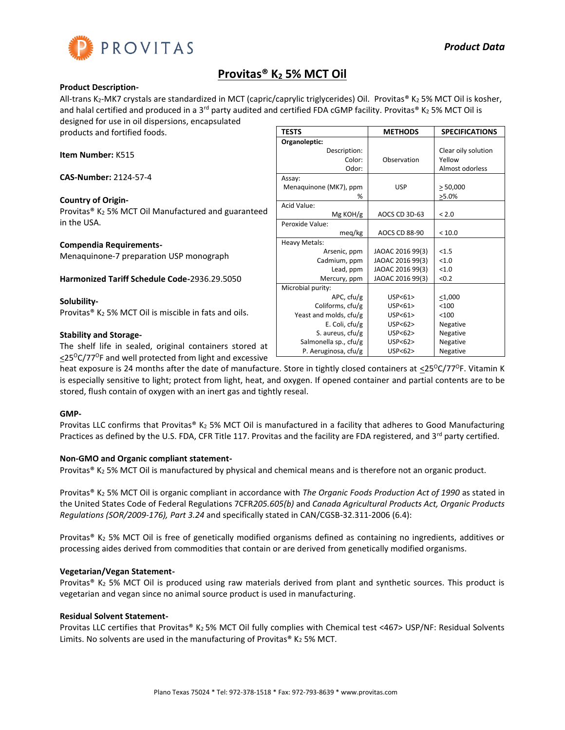

## **Provitas® K<sup>2</sup> 5% MCT Oil**

#### **Product Description-**

All-trans K<sub>2</sub>-MK7 crystals are standardized in MCT (capric/caprylic triglycerides) Oil. Provitas® K<sub>2</sub> 5% MCT Oil is kosher, and halal certified and produced in a 3<sup>rd</sup> party audited and certified FDA cGMP facility. Provitas® K<sub>2</sub> 5% MCT Oil is designed for use in oil dispersions, encapsulated

products and fortified foods.

**Item Number:** K515

**CAS-Number:** 2124-57-4

## **Country of Origin-**

Provitas® K<sup>2</sup> 5% MCT Oil Manufactured and guaranteed in the USA.

#### **Compendia Requirements-**

Menaquinone-7 preparation USP monograph

**Harmonized Tariff Schedule Code-**2936.29.5050

**Solubility-**Provitas<sup>®</sup> K<sub>2</sub> 5% MCT Oil is miscible in fats and oils.

## **Stability and Storage-**

The shelf life in sealed, original containers stored at  $\leq$ 25<sup>o</sup>C/77<sup>o</sup>F and well protected from light and excessive

|                        | <b>METHODS</b>       |                       |
|------------------------|----------------------|-----------------------|
| TESTS                  |                      | <b>SPECIFICATIONS</b> |
| Organoleptic:          |                      |                       |
| Description:           |                      | Clear oily solution   |
| Color:                 | Observation          | Yellow                |
| Odor:                  |                      | Almost odorless       |
| Assay:                 |                      |                       |
| Menaquinone (MK7), ppm | <b>USP</b>           | > 50,000              |
| %                      |                      | $>5.0\%$              |
| Acid Value:            |                      |                       |
| Mg KOH/g               | AOCS CD 3D-63        | < 2.0                 |
| Peroxide Value:        |                      |                       |
| meg/kg                 | <b>AOCS CD 88-90</b> | < 10.0                |
| Heavy Metals:          |                      |                       |
| Arsenic, ppm           | JAOAC 2016 99(3)     | < 1.5                 |
| Cadmium, ppm           | JAOAC 2016 99(3)     | < 1.0                 |
| Lead, ppm              | JAOAC 2016 99(3)     | < 1.0                 |
| Mercury, ppm           | JAOAC 2016 99(3)     | < 0.2                 |
| Microbial purity:      |                      |                       |
| APC, cfu/g             | USP < 61             | $<$ 1,000             |
| Coliforms, cfu/g       | USP < 61             | < 100                 |
| Yeast and molds, cfu/g | USP < 61             | < 100                 |
| E. Coli, cfu/g         | USP<62><br>Negative  |                       |
| S. aureus, cfu/g       | USP<62>              | Negative              |
| Salmonella sp., cfu/g  | USP<62>              | Negative              |
| P. Aeruginosa, cfu/g   | USP < 62             | Negative              |

heat exposure is 24 months after the date of manufacture. Store in tightly closed containers at  $\leq$ 25<sup>o</sup>C/77<sup>o</sup>F. Vitamin K is especially sensitive to light; protect from light, heat, and oxygen. If opened container and partial contents are to be stored, flush contain of oxygen with an inert gas and tightly reseal.

## **GMP-**

Provitas LLC confirms that Provitas® K<sub>2</sub> 5% MCT Oil is manufactured in a facility that adheres to Good Manufacturing Practices as defined by the U.S. FDA, CFR Title 117. Provitas and the facility are FDA registered, and 3<sup>rd</sup> party certified.

## **Non-GMO and Organic compliant statement-**

Provitas® K<sub>2</sub> 5% MCT Oil is manufactured by physical and chemical means and is therefore not an organic product.

Provitas® K<sup>2</sup> 5% MCT Oil is organic compliant in accordance with *The Organic Foods Production Act of 1990* as stated in the United States Code of Federal Regulations 7CFR*205.605(b)* and *Canada Agricultural Products Act, Organic Products Regulations (SOR/2009-176), Part 3.24* and specifically stated in CAN/CGSB-32.311-2006 (6.4):

Provitas® K<sub>2</sub> 5% MCT Oil is free of genetically modified organisms defined as containing no ingredients, additives or processing aides derived from commodities that contain or are derived from genetically modified organisms.

## **Vegetarian/Vegan Statement-**

Provitas® K<sub>2</sub> 5% MCT Oil is produced using raw materials derived from plant and synthetic sources. This product is vegetarian and vegan since no animal source product is used in manufacturing.

## **Residual Solvent Statement-**

Provitas LLC certifies that Provitas® K2 5% MCT Oil fully complies with Chemical test <467> USP/NF: Residual Solvents Limits. No solvents are used in the manufacturing of Provitas® K<sub>2</sub> 5% MCT.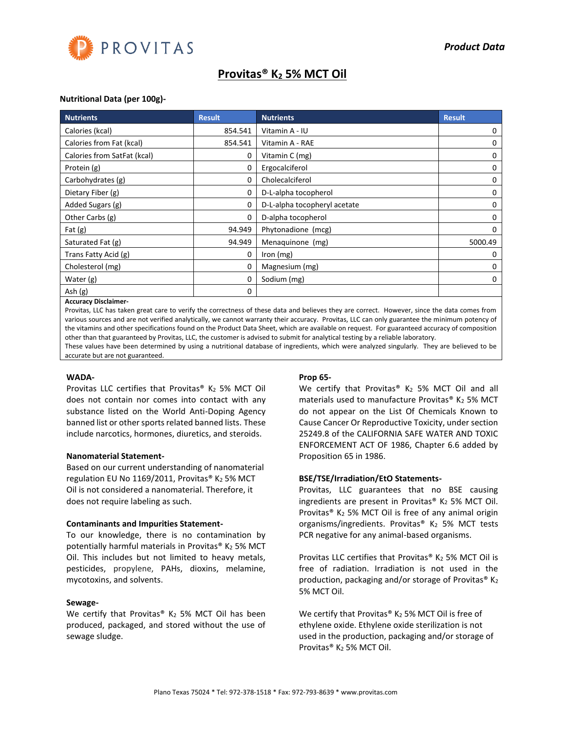

# **Provitas® K<sup>2</sup> 5% MCT Oil**

## **Nutritional Data (per 100g)-**

| <b>Nutrients</b>            | <b>Result</b>              | <b>Nutrients</b>             | <b>Result</b> |
|-----------------------------|----------------------------|------------------------------|---------------|
| Calories (kcal)             | 854.541                    | Vitamin A - IU               | 0             |
| Calories from Fat (kcal)    | 854.541<br>Vitamin A - RAE |                              | 0             |
| Calories from SatFat (kcal) | 0                          | Vitamin C (mg)               | 0             |
| Protein (g)                 | 0                          | Ergocalciferol               | 0             |
| Carbohydrates (g)           | 0                          | Cholecalciferol              | 0             |
| Dietary Fiber (g)           | 0                          | D-L-alpha tocopherol         | 0             |
| Added Sugars (g)            | 0                          | D-L-alpha tocopheryl acetate | 0             |
| Other Carbs (g)             | 0                          | D-alpha tocopherol           | 0             |
| Fat $(g)$                   | 94.949                     | Phytonadione (mcg)           | 0             |
| Saturated Fat (g)           | 94.949                     | Menaquinone (mg)             | 5000.49       |
| Trans Fatty Acid (g)        | 0                          | Iron $(mg)$                  | 0             |
| Cholesterol (mg)            | 0                          | Magnesium (mg)               | 0             |
| Water (g)                   | 0                          | Sodium (mg)                  | 0             |
| Ash (g)<br>.                | 0                          |                              |               |

#### **Accuracy Disclaimer-**

Provitas, LLC has taken great care to verify the correctness of these data and believes they are correct. However, since the data comes from various sources and are not verified analytically, we cannot warranty their accuracy. Provitas, LLC can only guarantee the minimum potency of the vitamins and other specifications found on the Product Data Sheet, which are available on request. For guaranteed accuracy of composition other than that guaranteed by Provitas, LLC, the customer is advised to submit for analytical testing by a reliable laboratory.

These values have been determined by using a nutritional database of ingredients, which were analyzed singularly. They are believed to be accurate but are not guaranteed.

#### **WADA-**

Provitas LLC certifies that Provitas<sup>®</sup> K<sub>2</sub> 5% MCT Oil does not contain nor comes into contact with any substance listed on the World Anti-Doping Agency banned list or other sports related banned lists. These include narcotics, hormones, diuretics, and steroids.

#### **Nanomaterial Statement-**

Based on our current understanding of nanomaterial regulation EU No 1169/2011, Provitas<sup>®</sup> K<sub>2</sub> 5% MCT Oil is not considered a nanomaterial. Therefore, it does not require labeling as such.

#### **Contaminants and Impurities Statement-**

To our knowledge, there is no contamination by potentially harmful materials in Provitas® K2 5% MCT Oil. This includes but not limited to heavy metals, pesticides, propylene, PAHs, dioxins, melamine, mycotoxins, and solvents.

#### **Sewage-**

We certify that Provitas® K<sub>2</sub> 5% MCT Oil has been produced, packaged, and stored without the use of sewage sludge.

#### **Prop 65-**

We certify that Provitas<sup>®</sup> K<sub>2</sub> 5% MCT Oil and all materials used to manufacture Provitas® K2 5% MCT do not appear on the List Of Chemicals Known to Cause Cancer Or Reproductive Toxicity, under section 25249.8 of the CALIFORNIA SAFE WATER AND TOXIC ENFORCEMENT ACT OF 1986, Chapter 6.6 added by Proposition 65 in 1986.

#### **BSE/TSE/Irradiation/EtO Statements-**

Provitas, LLC guarantees that no BSE causing ingredients are present in Provitas®  $K_2$  5% MCT Oil. Provitas<sup>®</sup> K<sub>2</sub> 5% MCT Oil is free of any animal origin organisms/ingredients. Provitas<sup>®</sup> K<sub>2</sub> 5% MCT tests PCR negative for any animal-based organisms.

Provitas LLC certifies that Provitas®  $K_2$  5% MCT Oil is free of radiation. Irradiation is not used in the production, packaging and/or storage of Provitas<sup>®</sup> K<sub>2</sub> 5% MCT Oil.

We certify that Provitas®  $K_2$  5% MCT Oil is free of ethylene oxide. Ethylene oxide sterilization is not used in the production, packaging and/or storage of Provitas® K<sup>2</sup> 5% MCT Oil.